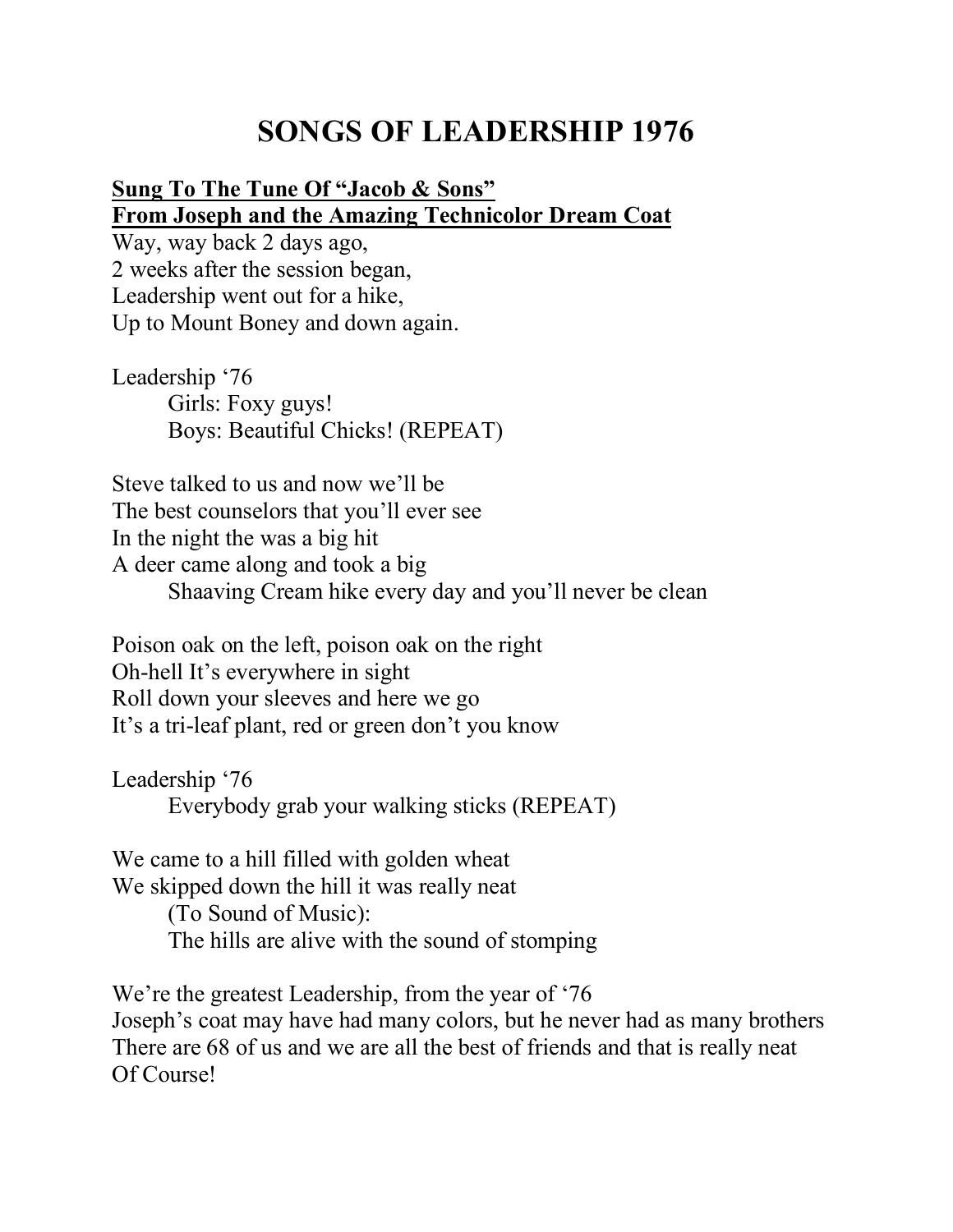# **SONGS OF LEADERSHIP 1976**

#### **Sung To The Tune Of "Jacob & Sons" From Joseph and the Amazing Technicolor Dream Coat**

Way, way back 2 days ago, 2 weeks after the session began, Leadership went out for a hike, Up to Mount Boney and down again.

Leadership '76 Girls: Foxy guys! Boys: Beautiful Chicks! (REPEAT)

Steve talked to us and now we'll be The best counselors that you'll ever see In the night the was a big hit A deer came along and took a big Shaaving Cream hike every day and you'll never be clean

Poison oak on the left, poison oak on the right Oh-hell It's everywhere in sight Roll down your sleeves and here we go It's a tri-leaf plant, red or green don't you know

Leadership '76 Everybody grab your walking sticks (REPEAT)

We came to a hill filled with golden wheat We skipped down the hill it was really neat (To Sound of Music): The hills are alive with the sound of stomping

We're the greatest Leadership, from the year of '76 Joseph's coat may have had many colors, but he never had as many brothers There are 68 of us and we are all the best of friends and that is really neat Of Course!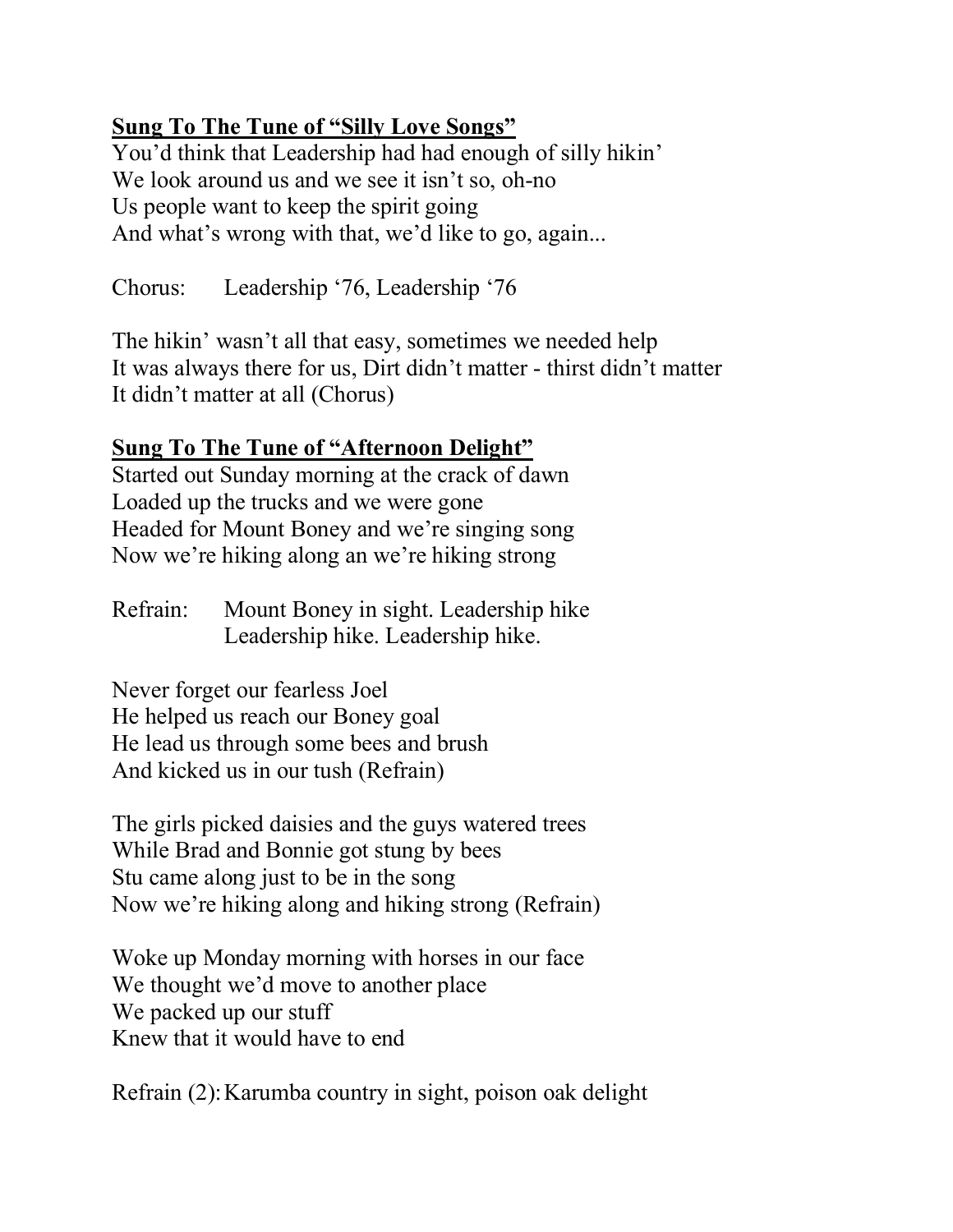# **Sung To The Tune of "Silly Love Songs"**

You'd think that Leadership had had enough of silly hikin' We look around us and we see it isn't so, oh-no Us people want to keep the spirit going And what's wrong with that, we'd like to go, again...

Chorus: Leadership '76, Leadership '76

The hikin' wasn't all that easy, sometimes we needed help It was always there for us, Dirt didn't matter - thirst didn't matter It didn't matter at all (Chorus)

## **Sung To The Tune of "Afternoon Delight"**

Started out Sunday morning at the crack of dawn Loaded up the trucks and we were gone Headed for Mount Boney and we're singing song Now we're hiking along an we're hiking strong

Refrain: Mount Boney in sight. Leadership hike Leadership hike. Leadership hike.

Never forget our fearless Joel He helped us reach our Boney goal He lead us through some bees and brush And kicked us in our tush (Refrain)

The girls picked daisies and the guys watered trees While Brad and Bonnie got stung by bees Stu came along just to be in the song Now we're hiking along and hiking strong (Refrain)

Woke up Monday morning with horses in our face We thought we'd move to another place We packed up our stuff Knew that it would have to end

Refrain (2):Karumba country in sight, poison oak delight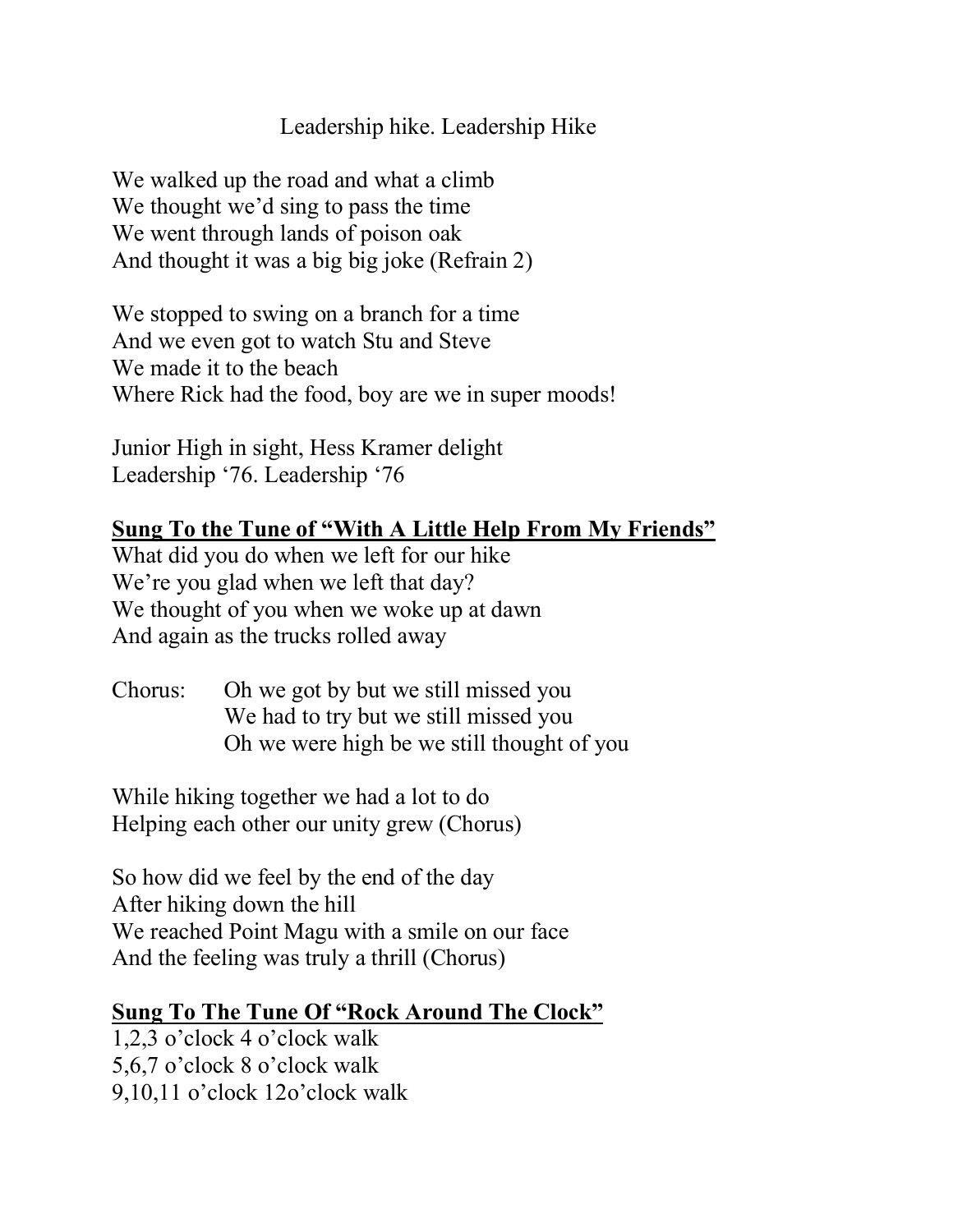### Leadership hike. Leadership Hike

We walked up the road and what a climb We thought we'd sing to pass the time We went through lands of poison oak And thought it was a big big joke (Refrain 2)

We stopped to swing on a branch for a time And we even got to watch Stu and Steve We made it to the beach Where Rick had the food, boy are we in super moods!

Junior High in sight, Hess Kramer delight Leadership '76. Leadership '76

# **Sung To the Tune of "With A Little Help From My Friends"**

What did you do when we left for our hike We're you glad when we left that day? We thought of you when we woke up at dawn And again as the trucks rolled away

Chorus: Oh we got by but we still missed you We had to try but we still missed you Oh we were high be we still thought of you

While hiking together we had a lot to do Helping each other our unity grew (Chorus)

So how did we feel by the end of the day After hiking down the hill We reached Point Magu with a smile on our face And the feeling was truly a thrill (Chorus)

#### **Sung To The Tune Of "Rock Around The Clock"**

1,2,3 o'clock 4 o'clock walk 5,6,7 o'clock 8 o'clock walk 9,10,11 o'clock 12o'clock walk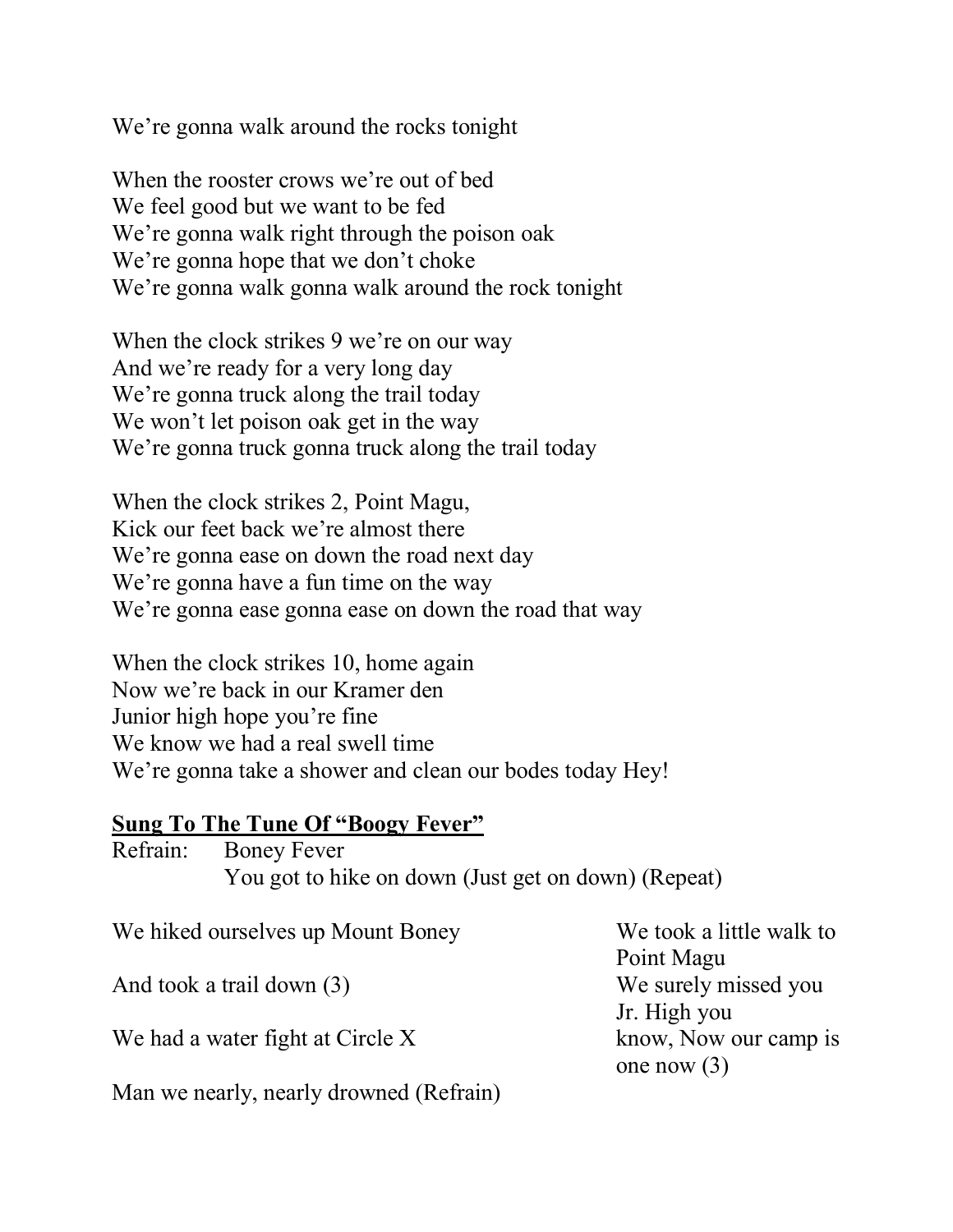We're gonna walk around the rocks tonight

When the rooster crows we're out of bed We feel good but we want to be fed We're gonna walk right through the poison oak We're gonna hope that we don't choke We're gonna walk gonna walk around the rock tonight

When the clock strikes 9 we're on our way And we're ready for a very long day We're gonna truck along the trail today We won't let poison oak get in the way We're gonna truck gonna truck along the trail today

When the clock strikes 2, Point Magu, Kick our feet back we're almost there We're gonna ease on down the road next day We're gonna have a fun time on the way We're gonna ease gonna ease on down the road that way

When the clock strikes 10, home again Now we're back in our Kramer den Junior high hope you're fine We know we had a real swell time We're gonna take a shower and clean our bodes today Hey!

#### **Sung To The Tune Of "Boogy Fever"**

Refrain: Boney Fever You got to hike on down (Just get on down) (Repeat) We hiked ourselves up Mount Boney We took a little walk to

And took a trail down (3) We surely missed you

We had a water fight at Circle X know, Now our camp is

Point Magu Jr. High you one now (3)

Man we nearly, nearly drowned (Refrain)